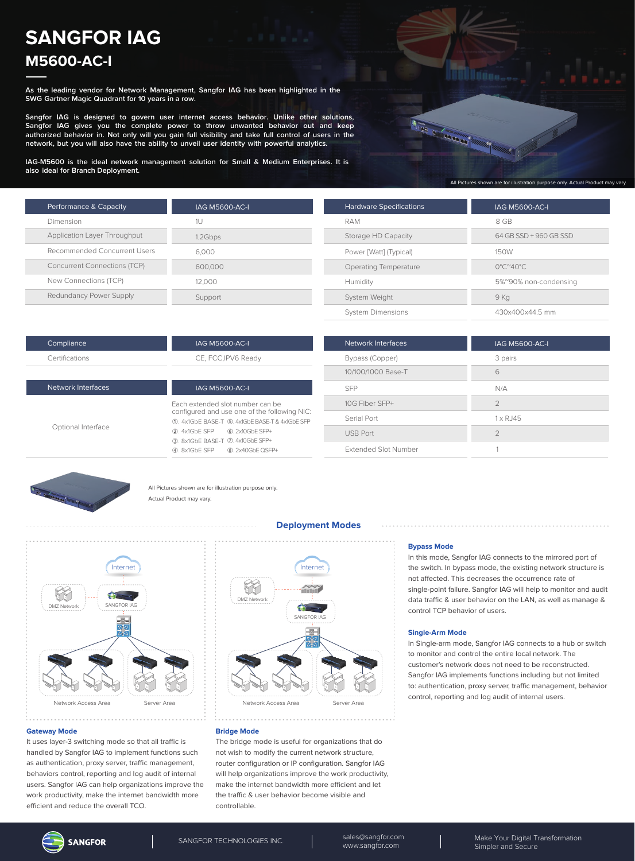# **SANGFOR IAG M5600-AC-I**

**As the leading vendor for Network Management, Sangfor IAG has been highlighted in the SWG Gartner Magic Quadrant for 10 years in a row.**

**Sangfor IAG is designed to govern user internet access behavior. Unlike other solutions, Sangfor IAG gives you the complete power to throw unwanted behavior out and keep authorized behavior in. Not only will you gain full visibility and take full control of users in the network, but you will also have the ability to unveil user identity with powerful analytics.**

**IAG-M5600 is the ideal network management solution for Small & Medium Enterprises. It is also ideal for Branch Deployment.**

| Performance & Capacity              | <b>IAG M5600-AC-I</b> |
|-------------------------------------|-----------------------|
| Dimension                           | 1U                    |
| Application Layer Throughput        | 1.2Gbps               |
| Recommended Concurrent Users        | 6.000                 |
| <b>Concurrent Connections (TCP)</b> | 600.000               |
| New Connections (TCP)               | 12.000                |
| Redundancy Power Supply             | Support               |



| <b>Hardware Specifications</b> | <b>IAG M5600-AC-I</b>                   |
|--------------------------------|-----------------------------------------|
| RAM                            | 8 GB                                    |
| Storage HD Capacity            | 64 GB SSD + 960 GB SSD                  |
| Power [Watt] (Typical)         | 150W                                    |
| Operating Temperature          | $0^{\circ}$ C $^{\sim}$ 40 $^{\circ}$ C |
| Humidity                       | 5%~90% non-condensing                   |
| System Weight                  | 9 Kg                                    |
| <b>System Dimensions</b>       | 430x400x44.5 mm                         |
|                                |                                         |

| Compliance     | IAG M5600-AC-I      |
|----------------|---------------------|
| Certifications | CE, FCC, IPV6 Ready |
|                |                     |

| Network Interfaces | <b>IAG M5600-AC-I</b>                                                                                                                                                                                      |
|--------------------|------------------------------------------------------------------------------------------------------------------------------------------------------------------------------------------------------------|
| Optional Interface | Fach extended slot number can be<br>configured and use one of the following NIC:<br>10. 4x1GbE BASE-T (5). 4x1GbE BASE-T & 4x1GbE SFP<br>2. 4x1GbE SFP 6. 2x10GbE SFP+<br>3. 8x1GbE BASE-T 2. 4x10GbE SFP+ |
|                    |                                                                                                                                                                                                            |

| Network Interfaces          | <b>IAG M5600-AC-I</b> |
|-----------------------------|-----------------------|
| Bypass (Copper)             | 3 pairs               |
| 10/100/1000 Base-T          | 6                     |
| <b>SFP</b>                  | N/A                   |
| 10G Fiber SFP+              | $\mathcal{P}$         |
| Serial Port                 | $1 \times R$ . 145    |
| <b>USB Port</b>             | $\mathcal{P}$         |
| <b>Extended Slot Number</b> |                       |



All Pictures shown are for illustration purpose only. Actual Product may vary.



#### **Gateway Mode**

It uses layer-3 switching mode so that all traffic is handled by Sangfor IAG to implement functions such as authentication, proxy server, traffic management, behaviors control, reporting and log audit of internal users. Sangfor IAG can help organizations improve the work productivity, make the internet bandwidth more efficient and reduce the overall TCO.

## **Deployment Modes**



#### **Bridge Mode**

The bridge mode is useful for organizations that do not wish to modify the current network structure, router configuration or IP configuration. Sangfor IAG will help organizations improve the work productivity, make the internet bandwidth more efficient and let the traffic & user behavior become visible and controllable.

#### **Bypass Mode**

In this mode, Sangfor IAG connects to the mirrored port of the switch. In bypass mode, the existing network structure is not affected. This decreases the occurrence rate of single-point failure. Sangfor IAG will help to monitor and audit data traffic & user behavior on the LAN, as well as manage & control TCP behavior of users.

#### **Single-Arm Mode**

In Single-arm mode, Sangfor IAG connects to a hub or switch to monitor and control the entire local network. The customer's network does not need to be reconstructed. Sangfor IAG implements functions including but not limited to: authentication, proxy server, traffic management, behavior control, reporting and log audit of internal users.

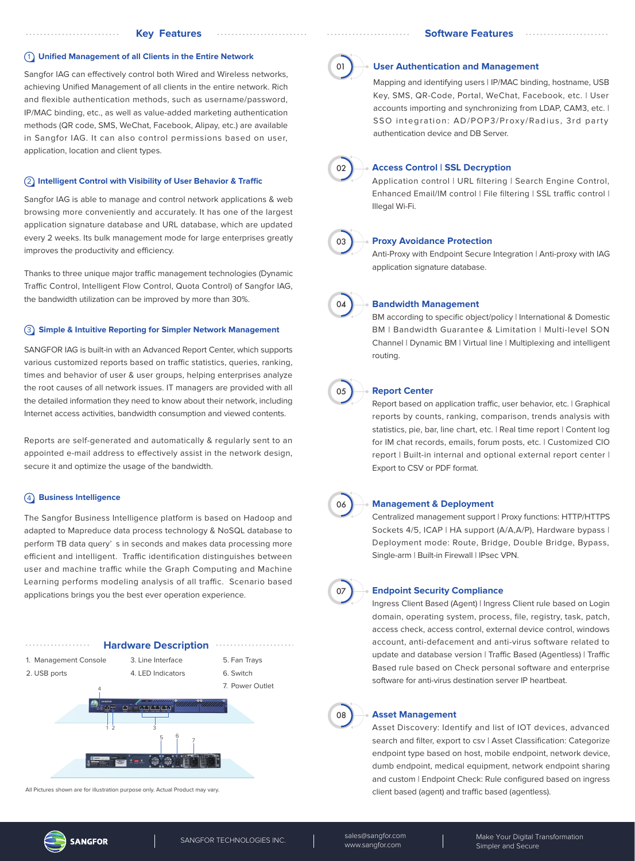#### 1 **Unified Management of all Clients in the Entire Network**

Sangfor IAG can effectively control both Wired and Wireless networks, achieving Unified Management of all clients in the entire network. Rich and flexible authentication methods, such as username/password, IP/MAC binding, etc., as well as value-added marketing authentication methods (QR code, SMS, WeChat, Facebook, Alipay, etc.) are available in Sangfor IAG. It can also control permissions based on user, application, location and client types.

## **(2) Intelligent Control with Visibility of User Behavior & Traffic**

Sangfor IAG is able to manage and control network applications & web browsing more conveniently and accurately. It has one of the largest application signature database and URL database, which are updated every 2 weeks. Its bulk management mode for large enterprises greatly improves the productivity and efficiency.

Thanks to three unique major traffic management technologies (Dynamic Traffic Control, Intelligent Flow Control, Quota Control) of Sangfor IAG, the bandwidth utilization can be improved by more than 30%.

#### 3 **Simple & Intuitive Reporting for Simpler Network Management**

SANGFOR IAG is built-in with an Advanced Report Center, which supports various customized reports based on traffic statistics, queries, ranking, times and behavior of user & user groups, helping enterprises analyze the root causes of all network issues. IT managers are provided with all the detailed information they need to know about their network, including Internet access activities, bandwidth consumption and viewed contents.

Reports are self-generated and automatically & regularly sent to an appointed e-mail address to effectively assist in the network design, secure it and optimize the usage of the bandwidth.

## 4 **Business Intelligence**

The Sangfor Business Intelligence platform is based on Hadoop and adapted to Mapreduce data process technology & NoSQL database to perform TB data query' s in seconds and makes data processing more efficient and intelligent. Traffic identification distinguishes between user and machine traffic while the Graph Computing and Machine Learning performs modeling analysis of all traffic. Scenario based applications brings you the best ever operation experience.



All Pictures shown are for illustration purpose only. Actual Product may vary.



#### **User Authentication and Management**

Mapping and identifying users | IP/MAC binding, hostname, USB Key, SMS, QR-Code, Portal, WeChat, Facebook, etc. | User accounts importing and synchronizing from LDAP, CAM3, etc. | SSO integration: AD/POP3/Proxy/Radius, 3rd party authentication device and DB Server.



## **Access Control | SSL Decryption**

Application control | URL filtering | Search Engine Control, Enhanced Email/IM control | File filtering | SSL traffic control | Illegal Wi-Fi.



## **Proxy Avoidance Protection**

Anti-Proxy with Endpoint Secure Integration | Anti-proxy with IAG application signature database.



#### **Bandwidth Management**

BM according to specific object/policy | International & Domestic BM | Bandwidth Guarantee & Limitation | Multi-level SON Channel | Dynamic BM | Virtual line | Multiplexing and intelligent routing.



#### **Report Center**

Report based on application traffic, user behavior, etc. | Graphical reports by counts, ranking, comparison, trends analysis with statistics, pie, bar, line chart, etc. | Real time report | Content log for IM chat records, emails, forum posts, etc. | Customized CIO report | Built-in internal and optional external report center | Export to CSV or PDF format.



#### **Management & Deployment**

Centralized management support | Proxy functions: HTTP/HTTPS Sockets 4/5, ICAP | HA support (A/A,A/P), Hardware bypass | Deployment mode: Route, Bridge, Double Bridge, Bypass, Single-arm | Built-in Firewall | IPsec VPN.



#### **Endpoint Security Compliance**

Ingress Client Based (Agent) | Ingress Client rule based on Login domain, operating system, process, file, registry, task, patch, access check, access control, external device control, windows account, anti-defacement and anti-virus software related to update and database version | Traffic Based (Agentless) | Traffic Based rule based on Check personal software and enterprise software for anti-virus destination server IP heartbeat.



#### **Asset Management**

Asset Discovery: Identify and list of IOT devices, advanced search and filter, export to csv | Asset Classification: Categorize endpoint type based on host, mobile endpoint, network device, dumb endpoint, medical equipment, network endpoint sharing and custom | Endpoint Check: Rule configured based on ingress client based (agent) and traffic based (agentless).